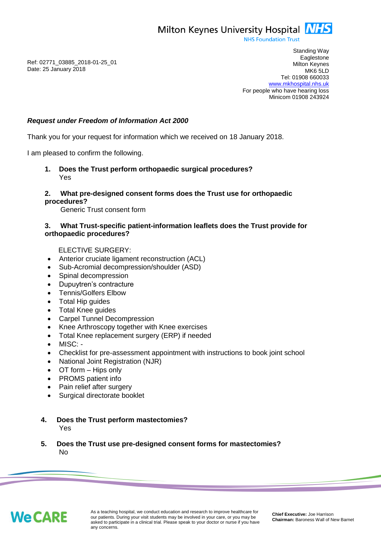Milton Keynes University Hospital **NHS** 

**NHS Foundation Trust** 

Ref: 02771\_03885\_2018-01-25\_01 Date: 25 January 2018

Standing Way **Eaglestone** Milton Keynes MK6 5LD Tel: 01908 660033 [www.mkhospital.nhs.uk](http://www.mkhospital.nhs.uk/) For people who have hearing loss Minicom 01908 243924

## *Request under Freedom of Information Act 2000*

Thank you for your request for information which we received on 18 January 2018.

I am pleased to confirm the following.

**1. Does the Trust perform orthopaedic surgical procedures?** Yes

## **2. What pre-designed consent forms does the Trust use for orthopaedic procedures?**

Generic Trust consent form

## **3. What Trust-specific patient-information leaflets does the Trust provide for orthopaedic procedures?**

ELECTIVE SURGERY:

- Anterior cruciate ligament reconstruction (ACL)
- Sub-Acromial decompression/shoulder (ASD)
- Spinal decompression
- Dupuytren's contracture
- Tennis/Golfers Elbow
- Total Hip guides
- Total Knee guides
- Carpel Tunnel Decompression
- Knee Arthroscopy together with Knee exercises
- Total Knee replacement surgery (ERP) if needed
- MISC: -
- Checklist for pre-assessment appointment with instructions to book joint school
- National Joint Registration (NJR)
- OT form Hips only
- PROMS patient info
- Pain relief after surgery
- Surgical directorate booklet

## **4. Does the Trust perform mastectomies?** Yes

**5. Does the Trust use pre-designed consent forms for mastectomies?** No